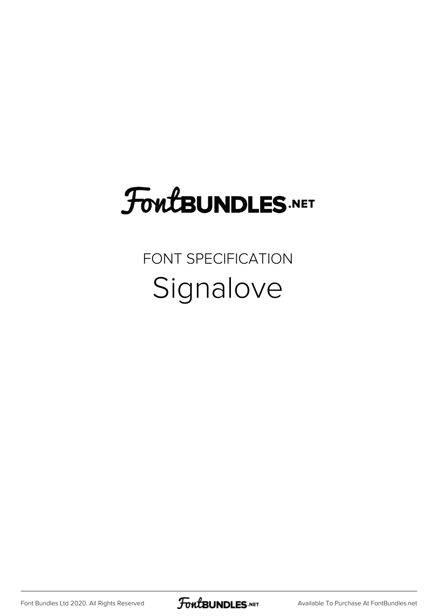## **FoutBUNDLES.NET**

FONT SPECIFICATION Signalove

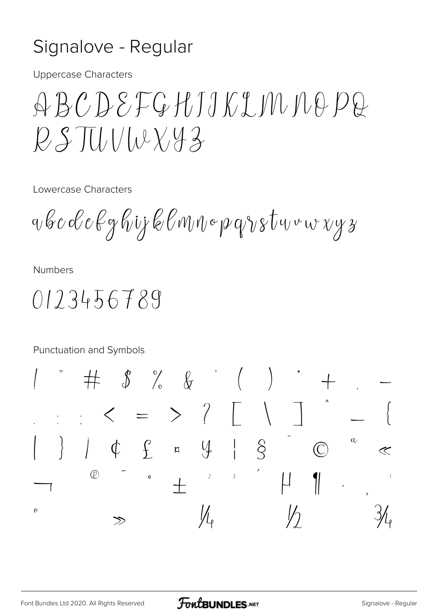## Signalove - Regular

**Uppercase Characters** 

 $\bigoplus B C D S F G H J J K J M D Q D Q$  $P.S.\overline{\Pi}$ 

Lowercase Characters

a b c d e kg hij k l m n o p q v s t u v w x y z

**Numbers** 

 $0123456789$ 

Punctuation and Symbols

 $\begin{picture}(160,170) \put(0,0){\vector(1,0){150}} \put(150,17){\vector(1,0){150}} \put(150,17){\vector(1,0){150}} \put(150,17){\vector(1,0){150}} \put(150,17){\vector(1,0){150}} \put(150,17){\vector(1,0){150}} \put(150,17){\vector(1,0){150}} \put(150,17){\vector(1,0){150}} \put(150,17){\vector(1,0){150}} \put(150,17){\vector(1,0){150}}$  $\langle \; = \; > \; \; \rangle$  $\alpha$  $\int \phi f$  f = 4  $\hat{S}$  $\overline{(\overline{C})}$  $\ll$  $\circledR$  $\overline{3}$  $\mathbf{o}$  $\ensuremath{\mathnormal{2}}$  $\overline{\mathcal{U}}$  $\boldsymbol{\alpha}$  $\frac{1}{2}$  $\sqrt{ }$  $\gg$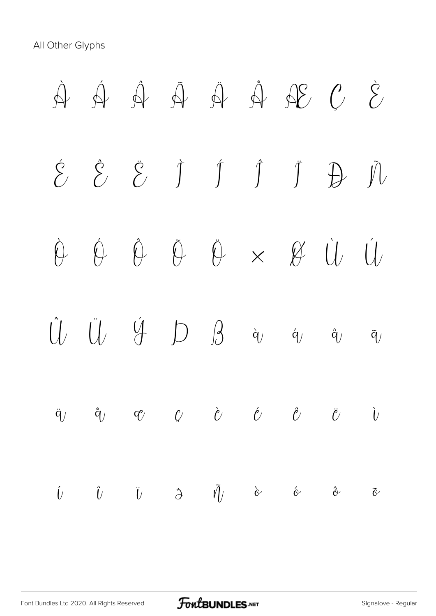All Other Glyphs

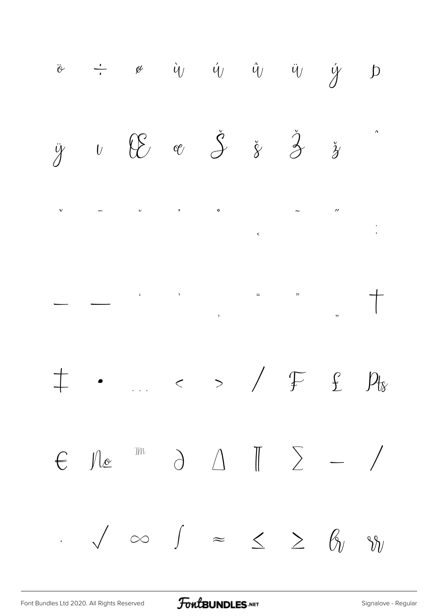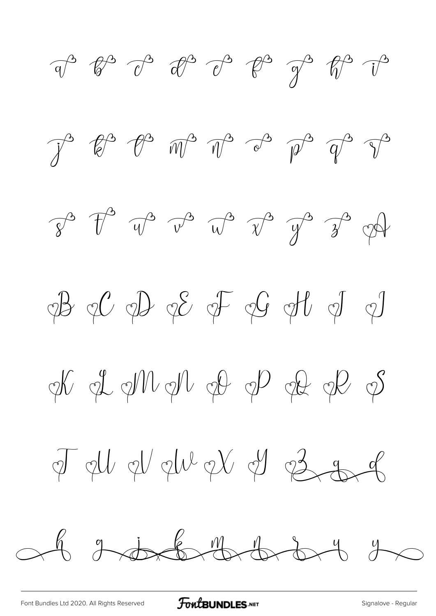$\begin{array}{ccccccccc}\n\mathbf{a}^{\mathbf{B}} & \mathbf{b}^{\mathbf{B}} & \mathbf{c}^{\mathbf{B}} & \mathbf{c}^{\mathbf{B}} & \mathbf{c}^{\mathbf{B}} & \mathbf{c}^{\mathbf{B}} & \mathbf{c}^{\mathbf{B}} & \mathbf{c}^{\mathbf{B}} & \mathbf{c}^{\mathbf{B}} & \mathbf{c}^{\mathbf{B}}\n\end{array}$  $\begin{array}{ccc}\n\mathcal{J}^3 & \mathcal{U}^3 & \mathcal{U}^3 & \mathcal{W}^3 & \mathcal{V}^3 & \mathcal{V}^3 & \mathcal{V}^3 & \mathcal{V}^3 & \mathcal{V}^3\n\end{array}$  $\hat{y}^3$   $\hat{T}^3$   $\hat{w}^3$   $\hat{v}^3$   $\hat{w}^3$   $\hat{y}^3$   $\hat{y}^3$   $\hat{y}^4$  $\phi B \phi C \phi D \phi E \phi F \phi G \phi U \phi J \phi$  Tell el elle et él és g  $673884227$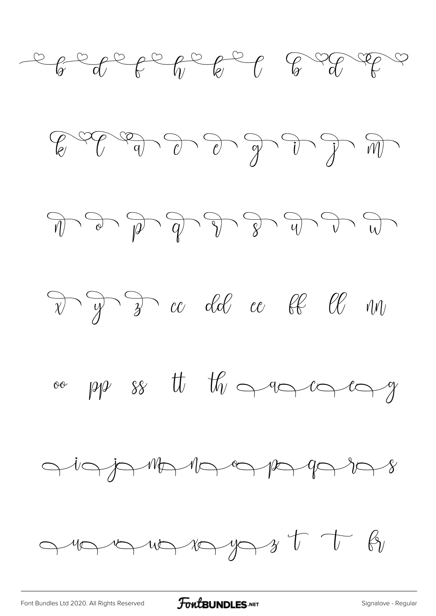